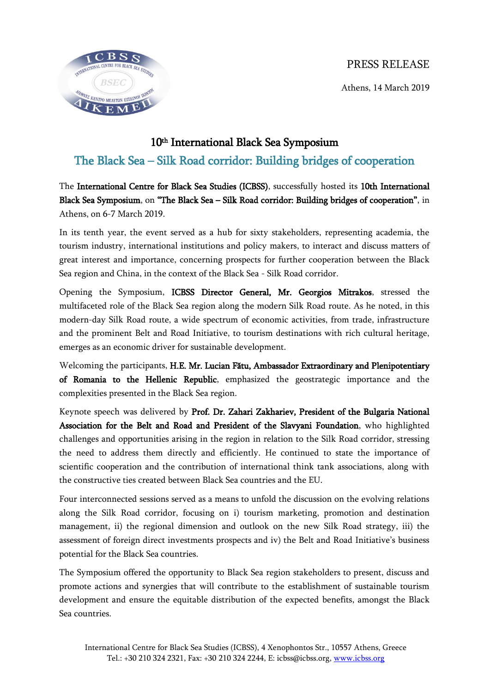## PRESS RELEASE





## 10th International Black Sea Symposium The Black Sea – Silk Road corridor: Building bridges of cooperation

The International Centre for Black Sea Studies (ICBSS), successfully hosted its 10th International Black Sea Symposium, on "The Black Sea – Silk Road corridor: Building bridges of cooperation", in Athens, on 6-7 March 2019.

In its tenth year, the event served as a hub for sixty stakeholders, representing academia, the tourism industry, international institutions and policy makers, to interact and discuss matters of great interest and importance, concerning prospects for further cooperation between the Black Sea region and China, in the context of the Black Sea - Silk Road corridor.

Opening the Symposium, ICBSS Director General, Mr. Georgios Mitrakos, stressed the multifaceted role of the Black Sea region along the modern Silk Road route. As he noted, in this modern-day Silk Road route, a wide spectrum of economic activities, from trade, infrastructure and the prominent Belt and Road Initiative, to tourism destinations with rich cultural heritage, emerges as an economic driver for sustainable development.

Welcoming the participants, H.E. Mr. Lucian Fătu, Ambassador Extraordinary and Plenipotentiary of Romania to the Hellenic Republic, emphasized the geostrategic importance and the complexities presented in the Black Sea region.

Keynote speech was delivered by Prof. Dr. Zahari Zakhariev, President of the Bulgaria National Association for the Belt and Road and President of the Slavyani Foundation, who highlighted challenges and opportunities arising in the region in relation to the Silk Road corridor, stressing the need to address them directly and efficiently. He continued to state the importance of scientific cooperation and the contribution of international think tank associations, along with the constructive ties created between Black Sea countries and the EU.

Four interconnected sessions served as a means to unfold the discussion on the evolving relations along the Silk Road corridor, focusing on i) tourism marketing, promotion and destination management, ii) the regional dimension and outlook on the new Silk Road strategy, iii) the assessment of foreign direct investments prospects and iv) the Belt and Road Initiative's business potential for the Black Sea countries.

The Symposium offered the opportunity to Black Sea region stakeholders to present, discuss and promote actions and synergies that will contribute to the establishment of sustainable tourism development and ensure the equitable distribution of the expected benefits, amongst the Black Sea countries.